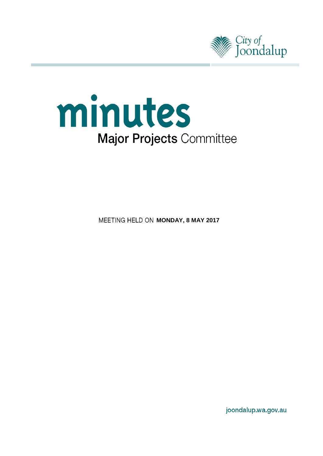



**MEETING HELD ON MONDAY, 8 MAY 2017** 

joondalup.wa.gov.au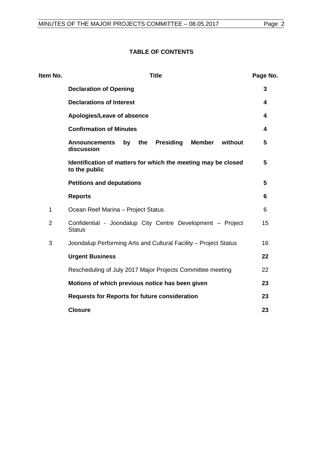## **TABLE OF CONTENTS**

| Item No.       | <b>Title</b>                                                                                    |    |  |  |
|----------------|-------------------------------------------------------------------------------------------------|----|--|--|
|                | <b>Declaration of Opening</b>                                                                   | 3  |  |  |
|                | <b>Declarations of Interest</b>                                                                 | 4  |  |  |
|                | Apologies/Leave of absence                                                                      | 4  |  |  |
|                | <b>Confirmation of Minutes</b>                                                                  | 4  |  |  |
|                | <b>Presiding</b><br><b>Member</b><br>without<br><b>Announcements</b><br>by<br>the<br>discussion | 5  |  |  |
|                | Identification of matters for which the meeting may be closed<br>to the public                  | 5  |  |  |
|                | <b>Petitions and deputations</b>                                                                |    |  |  |
|                | <b>Reports</b>                                                                                  | 6  |  |  |
| 1              | Ocean Reef Marina - Project Status                                                              |    |  |  |
| $\overline{2}$ | Confidential - Joondalup City Centre Development - Project<br><b>Status</b>                     |    |  |  |
| 3              | Joondalup Performing Arts and Cultural Facility - Project Status                                | 16 |  |  |
|                | <b>Urgent Business</b>                                                                          | 22 |  |  |
|                | Rescheduling of July 2017 Major Projects Committee meeting                                      | 22 |  |  |
|                | Motions of which previous notice has been given                                                 | 23 |  |  |
|                | <b>Requests for Reports for future consideration</b>                                            | 23 |  |  |
|                | <b>Closure</b>                                                                                  | 23 |  |  |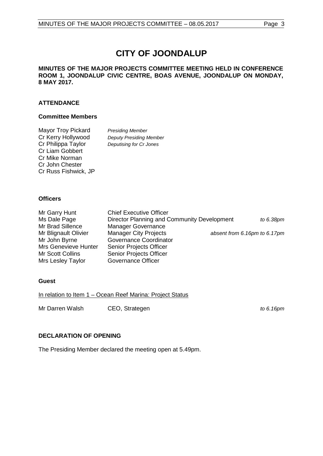# **CITY OF JOONDALUP**

#### **MINUTES OF THE MAJOR PROJECTS COMMITTEE MEETING HELD IN CONFERENCE ROOM 1, JOONDALUP CIVIC CENTRE, BOAS AVENUE, JOONDALUP ON MONDAY, 8 MAY 2017.**

## **ATTENDANCE**

#### **Committee Members**

| <b>Mayor Troy Pickard</b> | <b>Presiding Member</b>        |
|---------------------------|--------------------------------|
| Cr Kerry Hollywood        | <b>Deputy Presiding Member</b> |
| Cr Philippa Taylor        | Deputising for Cr Jones        |
| <b>Cr Liam Gobbert</b>    |                                |
| Cr Mike Norman            |                                |
| Cr John Chester           |                                |
| Cr Russ Fishwick, JP      |                                |

#### **Officers**

| Mr Garry Hunt        | <b>Chief Executive Officer</b>              |                              |
|----------------------|---------------------------------------------|------------------------------|
| Ms Dale Page         | Director Planning and Community Development | to 6.38pm                    |
| Mr Brad Sillence     | <b>Manager Governance</b>                   |                              |
| Mr Blignault Olivier | <b>Manager City Projects</b>                | absent from 6.16pm to 6.17pm |
| Mr John Byrne        | Governance Coordinator                      |                              |
| Mrs Genevieve Hunter | Senior Projects Officer                     |                              |
| Mr Scott Collins     | Senior Projects Officer                     |                              |
| Mrs Lesley Taylor    | <b>Governance Officer</b>                   |                              |

#### **Guest**

In relation to Item 1 – Ocean Reef Marina: Project Status

Mr Darren Walsh CEO, Strategen **the act of** *c* **6.16pm** 

#### <span id="page-2-0"></span>**DECLARATION OF OPENING**

The Presiding Member declared the meeting open at 5.49pm.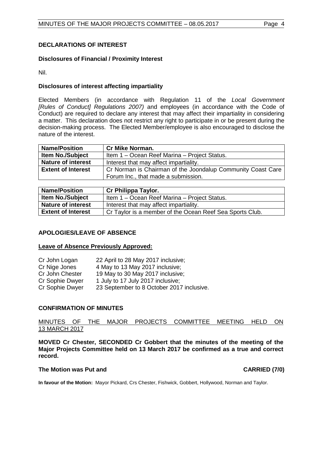## <span id="page-3-0"></span>**DECLARATIONS OF INTEREST**

#### **Disclosures of Financial / Proximity Interest**

Nil.

#### **Disclosures of interest affecting impartiality**

Elected Members (in accordance with Regulation 11 of the *Local Government [Rules of Conduct] Regulations 2007)* and employees (in accordance with the Code of Conduct) are required to declare any interest that may affect their impartiality in considering a matter. This declaration does not restrict any right to participate in or be present during the decision-making process. The Elected Member/employee is also encouraged to disclose the nature of the interest.

| <b>Name/Position</b>                                                                     | <b>Cr Mike Norman.</b>                       |
|------------------------------------------------------------------------------------------|----------------------------------------------|
| <b>Item No./Subject</b>                                                                  | Item 1 – Ocean Reef Marina – Project Status. |
| <b>Nature of interest</b>                                                                | Interest that may affect impartiality.       |
| Cr Norman is Chairman of the Joondalup Community Coast Care<br><b>Extent of Interest</b> |                                              |
|                                                                                          | Forum Inc., that made a submission.          |

| <b>Name/Position</b>      | Cr Philippa Taylor.                                      |
|---------------------------|----------------------------------------------------------|
| <b>Item No./Subject</b>   | Item 1 - Ocean Reef Marina - Project Status.             |
| <b>Nature of interest</b> | Interest that may affect impartiality.                   |
| <b>Extent of Interest</b> | Cr Taylor is a member of the Ocean Reef Sea Sports Club. |

#### <span id="page-3-1"></span>**APOLOGIES/LEAVE OF ABSENCE**

#### **Leave of Absence Previously Approved:**

| Cr John Logan   | 22 April to 28 May 2017 inclusive;        |
|-----------------|-------------------------------------------|
| Cr Nige Jones   | 4 May to 13 May 2017 inclusive;           |
| Cr John Chester | 19 May to 30 May 2017 inclusive;          |
| Cr Sophie Dwyer | 1 July to 17 July 2017 inclusive;         |
| Cr Sophie Dwyer | 23 September to 8 October 2017 inclusive. |
|                 |                                           |

#### <span id="page-3-2"></span>**CONFIRMATION OF MINUTES**

#### MINUTES OF THE MAJOR PROJECTS COMMITTEE MEETING HELD ON 13 MARCH 2017

**MOVED Cr Chester, SECONDED Cr Gobbert that the minutes of the meeting of the Major Projects Committee held on 13 March 2017 be confirmed as a true and correct record.**

#### **The Motion was Put and CARRIED (7/0)**

**In favour of the Motion:** Mayor Pickard, Crs Chester, Fishwick, Gobbert, Hollywood, Norman and Taylor.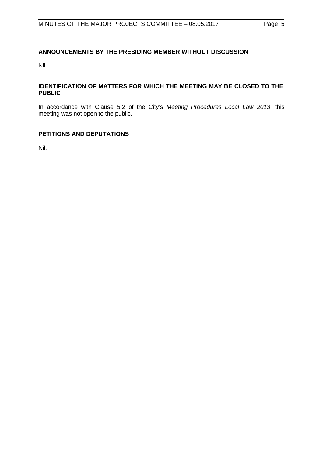## <span id="page-4-0"></span>**ANNOUNCEMENTS BY THE PRESIDING MEMBER WITHOUT DISCUSSION**

Nil.

#### <span id="page-4-1"></span>**IDENTIFICATION OF MATTERS FOR WHICH THE MEETING MAY BE CLOSED TO THE PUBLIC**

In accordance with Clause 5.2 of the City's *Meeting Procedures Local Law 2013*, this meeting was not open to the public.

## <span id="page-4-2"></span>**PETITIONS AND DEPUTATIONS**

Nil.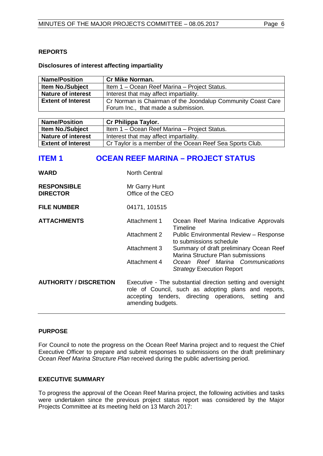#### <span id="page-5-0"></span>**Disclosures of interest affecting impartiality**

| <b>Name/Position</b>                                                                     | <b>Cr Mike Norman.</b>                       |  |  |
|------------------------------------------------------------------------------------------|----------------------------------------------|--|--|
| <b>Item No./Subject</b>                                                                  | Item 1 – Ocean Reef Marina – Project Status. |  |  |
| <b>Nature of interest</b>                                                                | Interest that may affect impartiality.       |  |  |
| <b>Extent of Interest</b><br>Cr Norman is Chairman of the Joondalup Community Coast Care |                                              |  |  |
|                                                                                          | Forum Inc., that made a submission.          |  |  |

| <b>Name/Position</b>      | Cr Philippa Taylor.                                      |
|---------------------------|----------------------------------------------------------|
| <b>Item No./Subject</b>   | Item 1 – Ocean Reef Marina – Project Status.             |
| <b>Nature of interest</b> | Interest that may affect impartiality.                   |
| <b>Extent of Interest</b> | Cr Taylor is a member of the Ocean Reef Sea Sports Club. |

## <span id="page-5-1"></span>**ITEM 1 OCEAN REEF MARINA – PROJECT STATUS**

| <b>WARD</b>                           | <b>North Central</b>                                                                                                                                                                             |                                                                              |  |
|---------------------------------------|--------------------------------------------------------------------------------------------------------------------------------------------------------------------------------------------------|------------------------------------------------------------------------------|--|
| <b>RESPONSIBLE</b><br><b>DIRECTOR</b> | Mr Garry Hunt<br>Office of the CEO                                                                                                                                                               |                                                                              |  |
| <b>FILE NUMBER</b>                    | 04171, 101515                                                                                                                                                                                    |                                                                              |  |
| <b>ATTACHMENTS</b>                    | Attachment 1                                                                                                                                                                                     | Ocean Reef Marina Indicative Approvals<br>Timeline                           |  |
|                                       | <b>Attachment 2</b>                                                                                                                                                                              | Public Environmental Review - Response<br>to submissions schedule            |  |
|                                       | <b>Attachment 3</b>                                                                                                                                                                              | Summary of draft preliminary Ocean Reef<br>Marina Structure Plan submissions |  |
|                                       | Attachment 4                                                                                                                                                                                     | Ocean Reef Marina Communications<br><b>Strategy Execution Report</b>         |  |
| <b>AUTHORITY / DISCRETION</b>         | Executive - The substantial direction setting and oversight<br>role of Council, such as adopting plans and reports,<br>accepting tenders, directing operations, setting and<br>amending budgets. |                                                                              |  |

## **PURPOSE**

For Council to note the progress on the Ocean Reef Marina project and to request the Chief Executive Officer to prepare and submit responses to submissions on the draft preliminary *Ocean Reef Marina Structure Plan* received during the public advertising period.

#### **EXECUTIVE SUMMARY**

To progress the approval of the Ocean Reef Marina project, the following activities and tasks were undertaken since the previous project status report was considered by the Major Projects Committee at its meeting held on 13 March 2017: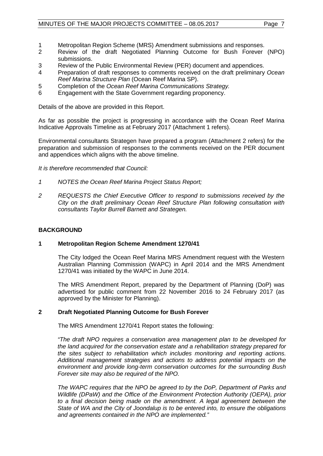- 1 Metropolitan Region Scheme (MRS) Amendment submissions and responses.<br>2 Review of the draft Negotiated Planning Outcome for Bush Forever
- 2 Review of the draft Negotiated Planning Outcome for Bush Forever (NPO) submissions.
- 3 Review of the Public Environmental Review (PER) document and appendices.
- 4 Preparation of draft responses to comments received on the draft preliminary *Ocean Reef Marina Structure Plan* (Ocean Reef Marina SP).
- 5 Completion of the *Ocean Reef Marina Communications Strategy.*
- Engagement with the State Government regarding proponency.

Details of the above are provided in this Report.

As far as possible the project is progressing in accordance with the Ocean Reef Marina Indicative Approvals Timeline as at February 2017 (Attachment 1 refers).

Environmental consultants Strategen have prepared a program (Attachment 2 refers) for the preparation and submission of responses to the comments received on the PER document and appendices which aligns with the above timeline.

#### *It is therefore recommended that Council:*

- *1 NOTES the Ocean Reef Marina Project Status Report;*
- *2 REQUESTS the Chief Executive Officer to respond to submissions received by the City on the draft preliminary Ocean Reef Structure Plan following consultation with consultants Taylor Burrell Barnett and Strategen.*

#### **BACKGROUND**

#### **1 Metropolitan Region Scheme Amendment 1270/41**

The City lodged the Ocean Reef Marina MRS Amendment request with the Western Australian Planning Commission (WAPC) in April 2014 and the MRS Amendment 1270/41 was initiated by the WAPC in June 2014.

The MRS Amendment Report, prepared by the Department of Planning (DoP) was advertised for public comment from 22 November 2016 to 24 February 2017 (as approved by the Minister for Planning).

#### **2 Draft Negotiated Planning Outcome for Bush Forever**

The MRS Amendment 1270/41 Report states the following:

*"The draft NPO requires a conservation area management plan to be developed for the land acquired for the conservation estate and a rehabilitation strategy prepared for the sites subject to rehabilitation which includes monitoring and reporting actions. Additional management strategies and actions to address potential impacts on the environment and provide long-term conservation outcomes for the surrounding Bush Forever site may also be required of the NPO.* 

*The WAPC requires that the NPO be agreed to by the DoP, Department of Parks and Wildlife (DPaW) and the Office of the Environment Protection Authority (OEPA), prior*  to a final decision being made on the amendment. A legal agreement between the *State of WA and the City of Joondalup is to be entered into, to ensure the obligations and agreements contained in the NPO are implemented."*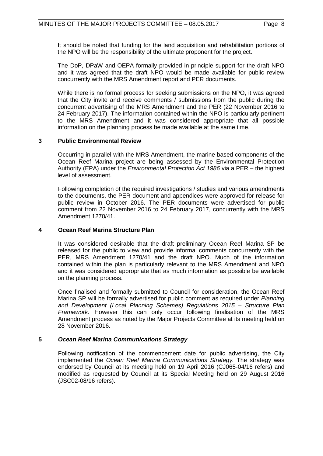It should be noted that funding for the land acquisition and rehabilitation portions of the NPO will be the responsibility of the ultimate proponent for the project.

The DoP, DPaW and OEPA formally provided in-principle support for the draft NPO and it was agreed that the draft NPO would be made available for public review concurrently with the MRS Amendment report and PER documents.

While there is no formal process for seeking submissions on the NPO, it was agreed that the City invite and receive comments / submissions from the public during the concurrent advertising of the MRS Amendment and the PER (22 November 2016 to 24 February 2017). The information contained within the NPO is particularly pertinent to the MRS Amendment and it was considered appropriate that all possible information on the planning process be made available at the same time.

#### **3 Public Environmental Review**

Occurring in parallel with the MRS Amendment, the marine based components of the Ocean Reef Marina project are being assessed by the Environmental Protection Authority (EPA) under the *Environmental Protection Act 1986* via a PER – the highest level of assessment.

Following completion of the required investigations / studies and various amendments to the documents, the PER document and appendices were approved for release for public review in October 2016. The PER documents were advertised for public comment from 22 November 2016 to 24 February 2017, concurrently with the MRS Amendment 1270/41.

#### **4 Ocean Reef Marina Structure Plan**

It was considered desirable that the draft preliminary Ocean Reef Marina SP be released for the public to view and provide informal comments concurrently with the PER, MRS Amendment 1270/41 and the draft NPO. Much of the information contained within the plan is particularly relevant to the MRS Amendment and NPO and it was considered appropriate that as much information as possible be available on the planning process.

Once finalised and formally submitted to Council for consideration, the Ocean Reef Marina SP will be formally advertised for public comment as required under *Planning and Development (Local Planning Schemes) Regulations 2015 – Structure Plan Framework.* However this can only occur following finalisation of the MRS Amendment process as noted by the Major Projects Committee at its meeting held on 28 November 2016.

#### **5** *Ocean Reef Marina Communications Strategy*

Following notification of the commencement date for public advertising, the City implemented the *Ocean Reef Marina Communications Strategy.* The strategy was endorsed by Council at its meeting held on 19 April 2016 (CJ065-04/16 refers) and modified as requested by Council at its Special Meeting held on 29 August 2016 (JSC02-08/16 refers).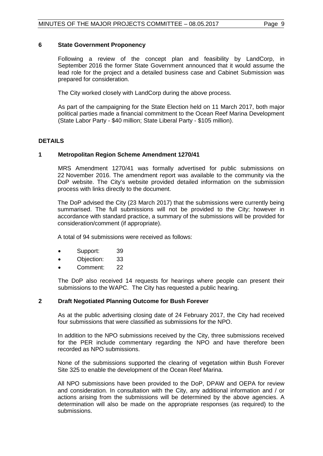#### **6 State Government Proponency**

Following a review of the concept plan and feasibility by LandCorp, in September 2016 the former State Government announced that it would assume the lead role for the project and a detailed business case and Cabinet Submission was prepared for consideration.

The City worked closely with LandCorp during the above process.

As part of the campaigning for the State Election held on 11 March 2017, both major political parties made a financial commitment to the Ocean Reef Marina Development (State Labor Party - \$40 million; State Liberal Party - \$105 million).

## **DETAILS**

#### **1 Metropolitan Region Scheme Amendment 1270/41**

MRS Amendment 1270/41 was formally advertised for public submissions on 22 November 2016. The amendment report was available to the community via the DoP website. The City's website provided detailed information on the submission process with links directly to the document.

The DoP advised the City (23 March 2017) that the submissions were currently being summarised. The full submissions will not be provided to the City; however in accordance with standard practice, a summary of the submissions will be provided for consideration/comment (if appropriate).

A total of 94 submissions were received as follows:

- Support: 39
- Objection: 33
- Comment: 22

The DoP also received 14 requests for hearings where people can present their submissions to the WAPC. The City has requested a public hearing.

#### **2 Draft Negotiated Planning Outcome for Bush Forever**

As at the public advertising closing date of 24 February 2017, the City had received four submissions that were classified as submissions for the NPO.

In addition to the NPO submissions received by the City, three submissions received for the PER include commentary regarding the NPO and have therefore been recorded as NPO submissions.

None of the submissions supported the clearing of vegetation within Bush Forever Site 325 to enable the development of the Ocean Reef Marina.

All NPO submissions have been provided to the DoP, DPAW and OEPA for review and consideration. In consultation with the City, any additional information and / or actions arising from the submissions will be determined by the above agencies. A determination will also be made on the appropriate responses (as required) to the submissions.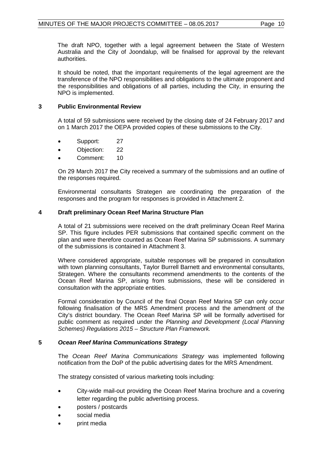The draft NPO, together with a legal agreement between the State of Western Australia and the City of Joondalup, will be finalised for approval by the relevant authorities.

It should be noted, that the important requirements of the legal agreement are the transference of the NPO responsibilities and obligations to the ultimate proponent and the responsibilities and obligations of all parties, including the City, in ensuring the NPO is implemented.

## **3 Public Environmental Review**

A total of 59 submissions were received by the closing date of 24 February 2017 and on 1 March 2017 the OEPA provided copies of these submissions to the City.

- Support: 27
- Objection: 22
- Comment: 10

On 29 March 2017 the City received a summary of the submissions and an outline of the responses required.

Environmental consultants Strategen are coordinating the preparation of the responses and the program for responses is provided in Attachment 2.

## **4 Draft preliminary Ocean Reef Marina Structure Plan**

A total of 21 submissions were received on the draft preliminary Ocean Reef Marina SP. This figure includes PER submissions that contained specific comment on the plan and were therefore counted as Ocean Reef Marina SP submissions. A summary of the submissions is contained in Attachment 3.

Where considered appropriate, suitable responses will be prepared in consultation with town planning consultants, Taylor Burrell Barnett and environmental consultants, Strategen. Where the consultants recommend amendments to the contents of the Ocean Reef Marina SP, arising from submissions, these will be considered in consultation with the appropriate entities.

Formal consideration by Council of the final Ocean Reef Marina SP can only occur following finalisation of the MRS Amendment process and the amendment of the City's district boundary. The Ocean Reef Marina SP will be formally advertised for public comment as required under the *Planning and Development (Local Planning Schemes) Regulations 2015 – Structure Plan Framework.*

#### **5** *Ocean Reef Marina Communications Strategy*

The *Ocean Reef Marina Communications Strategy* was implemented following notification from the DoP of the public advertising dates for the MRS Amendment.

The strategy consisted of various marketing tools including:

- City-wide mail-out providing the Ocean Reef Marina brochure and a covering letter regarding the public advertising process.
- posters / postcards
- social media
- print media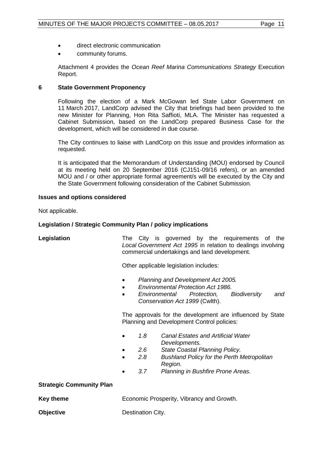- direct electronic communication
- community forums.

Attachment 4 provides the *Ocean Reef Marina Communications Strategy* Execution Report.

### **6 State Government Proponency**

Following the election of a Mark McGowan led State Labor Government on 11 March 2017, LandCorp advised the City that briefings had been provided to the new Minister for Planning, Hon Rita Saffioti, MLA. The Minister has requested a Cabinet Submission, based on the LandCorp prepared Business Case for the development, which will be considered in due course.

The City continues to liaise with LandCorp on this issue and provides information as requested.

It is anticipated that the Memorandum of Understanding (MOU) endorsed by Council at its meeting held on 20 September 2016 (CJ151-09/16 refers), or an amended MOU and / or other appropriate formal agreement/s will be executed by the City and the State Government following consideration of the Cabinet Submission.

#### **Issues and options considered**

Not applicable.

## **Legislation / Strategic Community Plan / policy implications**

**Legislation** The City is governed by the requirements of the *Local Government Act 1995* in relation to dealings involving commercial undertakings and land development.

Other applicable legislation includes:

- *Planning and Development Act 2005.*
- *Environmental Protection Act 1986.*
- *Environmental Protection, Biodiversity and Conservation Act 1999* (Cwlth).

The approvals for the development are influenced by State Planning and Development Control policies:

- *1.8 Canal Estates and Artificial Water Developments.*
- *2.6 State Coastal Planning Policy.*
- *2.8 Bushland Policy for the Perth Metropolitan Region.*
- *3.7 Planning in Bushfire Prone Areas.*

#### **Strategic Community Plan**

**Key theme Economic Prosperity, Vibrancy and Growth.** 

**Objective** Destination City.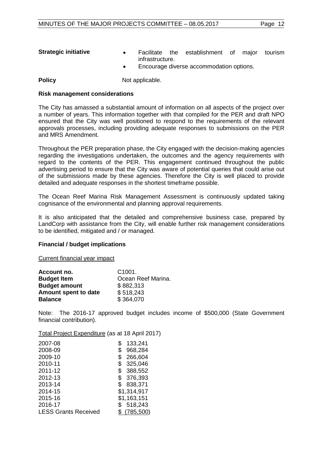- **Strategic initiative •** Facilitate the establishment of major tourism infrastructure.
	- Encourage diverse accommodation options.

**Policy** Not applicable.

#### **Risk management considerations**

The City has amassed a substantial amount of information on all aspects of the project over a number of years. This information together with that compiled for the PER and draft NPO ensured that the City was well positioned to respond to the requirements of the relevant approvals processes, including providing adequate responses to submissions on the PER and MRS Amendment.

Throughout the PER preparation phase, the City engaged with the decision-making agencies regarding the investigations undertaken, the outcomes and the agency requirements with regard to the contents of the PER. This engagement continued throughout the public advertising period to ensure that the City was aware of potential queries that could arise out of the submissions made by these agencies. Therefore the City is well placed to provide detailed and adequate responses in the shortest timeframe possible.

The Ocean Reef Marina Risk Management Assessment is continuously updated taking cognisance of the environmental and planning approval requirements.

It is also anticipated that the detailed and comprehensive business case, prepared by LandCorp with assistance from the City, will enable further risk management considerations to be identified, mitigated and / or managed.

#### **Financial / budget implications**

Current financial year impact

| Account no.          | C <sub>1001</sub>  |
|----------------------|--------------------|
| <b>Budget Item</b>   | Ocean Reef Marina. |
| <b>Budget amount</b> | \$882,313          |
| Amount spent to date | \$518,243          |
| <b>Balance</b>       | \$364,070          |

Note: The 2016-17 approved budget includes income of \$500,000 (State Government financial contribution).

Total Project Expenditure (as at 18 April 2017)

| 2007-08                     | S  | 133,241     |
|-----------------------------|----|-------------|
| 2008-09                     | \$ | 968,284     |
| 2009-10                     | \$ | 266,604     |
| 2010-11                     | S  | 325,046     |
| 2011-12                     | \$ | 388,552     |
| 2012-13                     | \$ | 376,393     |
| 2013-14                     | \$ | 838,371     |
| 2014-15                     |    | \$1,314,917 |
| 2015-16                     |    | \$1,163,151 |
| 2016-17                     |    | 518,243     |
| <b>LESS Grants Received</b> |    | \$(785,500) |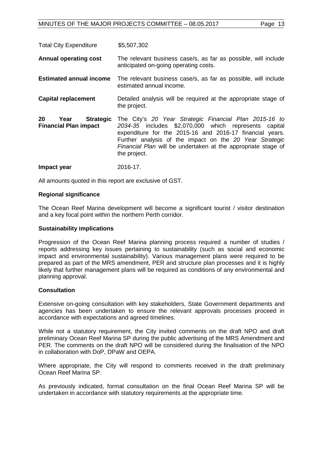Total City Expenditure \$5,507,302

**Annual operating cost** The relevant business case/s, as far as possible, will include anticipated on-going operating costs.

- **Estimated annual income** The relevant business case/s, as far as possible, will include estimated annual income.
- **Capital replacement** Detailed analysis will be required at the appropriate stage of the project.
- **20 Year Strategic Financial Plan impact**  The City's *20 Year Strategic Financial Plan 2015-16 to 2034-35* includes \$2,070,000 which represents capital expenditure for the 2015-16 and 2016-17 financial years. Further analysis of the impact on the *20 Year Strategic Financial Plan* will be undertaken at the appropriate stage of the project.
- **Impact year** 2016-17.

All amounts quoted in this report are exclusive of GST.

#### **Regional significance**

The Ocean Reef Marina development will become a significant tourist / visitor destination and a key focal point within the northern Perth corridor.

#### **Sustainability implications**

Progression of the Ocean Reef Marina planning process required a number of studies / reports addressing key issues pertaining to sustainability (such as social and economic impact and environmental sustainability). Various management plans were required to be prepared as part of the MRS amendment, PER and structure plan processes and it is highly likely that further management plans will be required as conditions of any environmental and planning approval.

#### **Consultation**

Extensive on-going consultation with key stakeholders, State Government departments and agencies has been undertaken to ensure the relevant approvals processes proceed in accordance with expectations and agreed timelines.

While not a statutory requirement, the City invited comments on the draft NPO and draft preliminary Ocean Reef Marina SP during the public advertising of the MRS Amendment and PER. The comments on the draft NPO will be considered during the finalisation of the NPO in collaboration with DoP, DPaW and OEPA.

Where appropriate, the City will respond to comments received in the draft preliminary Ocean Reef Marina SP.

As previously indicated, formal consultation on the final Ocean Reef Marina SP will be undertaken in accordance with statutory requirements at the appropriate time.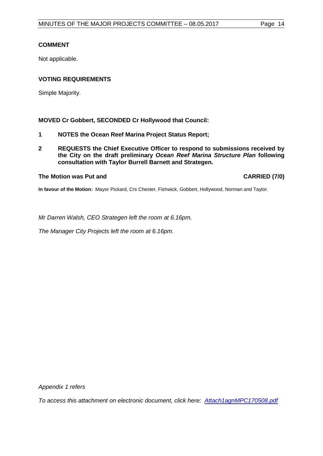## **COMMENT**

Not applicable.

## **VOTING REQUIREMENTS**

Simple Majority.

## **MOVED Cr Gobbert, SECONDED Cr Hollywood that Council:**

- **1 NOTES the Ocean Reef Marina Project Status Report;**
- **2 REQUESTS the Chief Executive Officer to respond to submissions received by the City on the draft preliminary** *Ocean Reef Marina Structure Plan* **following consultation with Taylor Burrell Barnett and Strategen.**

#### **The Motion was Put and CARRIED (7/0)**

**In favour of the Motion:** Mayor Pickard, Crs Chester, Fishwick, Gobbert, Hollywood, Norman and Taylor.

*Mr Darren Walsh, CEO Strategen left the room at 6.16pm.*

*The Manager City Projects left the room at 6.16pm.*

*Appendix 1 refers*

*[To access this attachment on electronic document, click here: Attach1agnMPC170508.pdf](Attach1agnMPC170508.pdf)*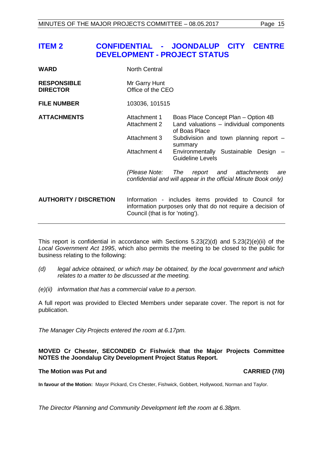## <span id="page-14-0"></span>**ITEM 2 CONFIDENTIAL - JOONDALUP CITY CENTRE DEVELOPMENT - PROJECT STATUS**

| <b>North Central</b>                                                                                                                                   |                                                                                                        |
|--------------------------------------------------------------------------------------------------------------------------------------------------------|--------------------------------------------------------------------------------------------------------|
| Mr Garry Hunt<br>Office of the CEO                                                                                                                     |                                                                                                        |
| 103036, 101515                                                                                                                                         |                                                                                                        |
| Attachment 1<br>Attachment 2                                                                                                                           | Boas Place Concept Plan – Option 4B<br>Land valuations - individual components<br>of Boas Place        |
| Attachment 3                                                                                                                                           | Subdivision and town planning report -<br>summary                                                      |
| Attachment 4                                                                                                                                           | Environmentally Sustainable Design -<br>Guideline Levels                                               |
| (Please Note:                                                                                                                                          | The<br>report and attachments<br>are<br>confidential and will appear in the official Minute Book only) |
| Information - includes items provided to Council for<br>information purposes only that do not require a decision of<br>Council (that is for 'noting'). |                                                                                                        |
|                                                                                                                                                        |                                                                                                        |

This report is confidential in accordance with Sections 5.23(2)(d) and 5.23(2)(e)(ii) of the *Local Government Act 1995*, which also permits the meeting to be closed to the public for business relating to the following:

- *(d) legal advice obtained, or which may be obtained, by the local government and which relates to a matter to be discussed at the meeting.*
- *(e)(ii) information that has a commercial value to a person.*

A full report was provided to Elected Members under separate cover. The report is not for publication.

*The Manager City Projects entered the room at 6.17pm.*

**MOVED Cr Chester, SECONDED Cr Fishwick that the Major Projects Committee NOTES the Joondalup City Development Project Status Report.**

#### **The Motion was Put and CARRIED (7/0)**

**In favour of the Motion:** Mayor Pickard, Crs Chester, Fishwick, Gobbert, Hollywood, Norman and Taylor.

*The Director Planning and Community Development left the room at 6.38pm.*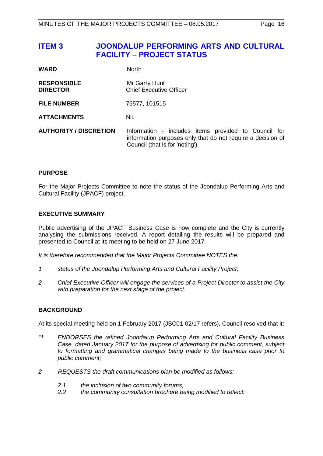## <span id="page-15-0"></span>**ITEM 3 JOONDALUP PERFORMING ARTS AND CULTURAL FACILITY – PROJECT STATUS**

| <b>WARD</b>                           | <b>North</b>                                                                                                                                           |
|---------------------------------------|--------------------------------------------------------------------------------------------------------------------------------------------------------|
| <b>RESPONSIBLE</b><br><b>DIRECTOR</b> | Mr Garry Hunt<br><b>Chief Executive Officer</b>                                                                                                        |
| <b>FILE NUMBER</b>                    | 75577, 101515                                                                                                                                          |
| <b>ATTACHMENTS</b>                    | Nil.                                                                                                                                                   |
| <b>AUTHORITY / DISCRETION</b>         | Information - includes items provided to Council for<br>information purposes only that do not require a decision of<br>Council (that is for 'noting'). |

## **PURPOSE**

For the Major Projects Committee to note the status of the Joondalup Performing Arts and Cultural Facility (JPACF) project.

## **EXECUTIVE SUMMARY**

Public advertising of the JPACF Business Case is now complete and the City is currently analysing the submissions received. A report detailing the results will be prepared and presented to Council at its meeting to be held on 27 June 2017.

*It is therefore recommended that the Major Projects Committee NOTES the:*

- *1 status of the Joondalup Performing Arts and Cultural Facility Project;*
- *2 Chief Executive Officer will engage the services of a Project Director to assist the City with preparation for the next stage of the project.*

#### **BACKGROUND**

At its special meeting held on 1 February 2017 (JSC01-02/17 refers), Council resolved that it:

- *"1 ENDORSES the refined Joondalup Performing Arts and Cultural Facility Business Case, dated January 2017 for the purpose of advertising for public comment, subject to formatting and grammatical changes being made to the business case prior to public comment;*
- *2 REQUESTS the draft communications plan be modified as follows:*
	- *2.1 the inclusion of two community forums;*
	- *2.2 the community consultation brochure being modified to reflect:*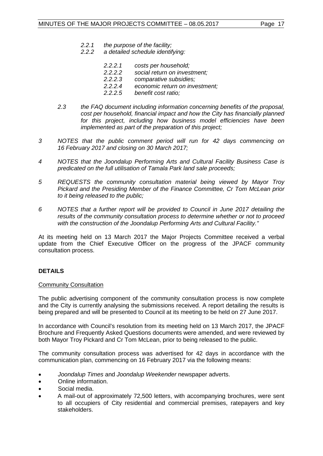- *2.2.1 the purpose of the facility;*
- *2.2.2 a detailed schedule identifying:*
	- *2.2.2.1 costs per household;*
	- *2.2.2.2 social return on investment;*
	- *2.2.2.3 comparative subsidies;*
	- *2.2.2.4 economic return on investment;*
	- *2.2.2.5 benefit cost ratio;*
- *2.3 the FAQ document including information concerning benefits of the proposal, cost per household, financial impact and how the City has financially planned for this project, including how business model efficiencies have been implemented as part of the preparation of this project;*
- *3 NOTES that the public comment period will run for 42 days commencing on 16 February 2017 and closing on 30 March 2017;*
- *4 NOTES that the Joondalup Performing Arts and Cultural Facility Business Case is predicated on the full utilisation of Tamala Park land sale proceeds;*
- *5 REQUESTS the community consultation material being viewed by Mayor Troy Pickard and the Presiding Member of the Finance Committee, Cr Tom McLean prior to it being released to the public;*
- *6 NOTES that a further report will be provided to Council in June 2017 detailing the results of the community consultation process to determine whether or not to proceed with the construction of the Joondalup Performing Arts and Cultural Facility."*

At its meeting held on 13 March 2017 the Major Projects Committee received a verbal update from the Chief Executive Officer on the progress of the JPACF community consultation process.

#### **DETAILS**

#### Community Consultation

The public advertising component of the community consultation process is now complete and the City is currently analysing the submissions received. A report detailing the results is being prepared and will be presented to Council at its meeting to be held on 27 June 2017.

In accordance with Council's resolution from its meeting held on 13 March 2017, the JPACF Brochure and Frequently Asked Questions documents were amended, and were reviewed by both Mayor Troy Pickard and Cr Tom McLean, prior to being released to the public.

The community consultation process was advertised for 42 days in accordance with the communication plan, commencing on 16 February 2017 via the following means:

- *Joondalup Times* and *Joondalup Weekender* newspaper adverts.
- Online information.
- Social media.
- A mail-out of approximately 72,500 letters, with accompanying brochures, were sent to all occupiers of City residential and commercial premises, ratepayers and key stakeholders.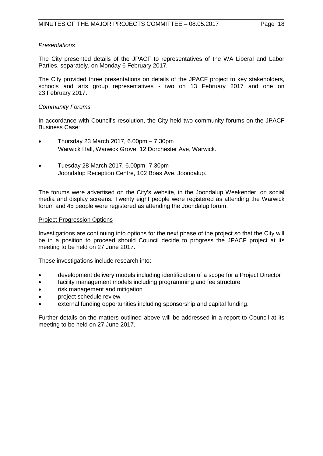### *Presentations*

The City presented details of the JPACF to representatives of the WA Liberal and Labor Parties, separately, on Monday 6 February 2017.

The City provided three presentations on details of the JPACF project to key stakeholders, schools and arts group representatives - two on 13 February 2017 and one on 23 February 2017.

### *Community Forums*

In accordance with Council's resolution, the City held two community forums on the JPACF Business Case:

- Thursday 23 March 2017, 6.00pm 7.30pm Warwick Hall, Warwick Grove, 12 Dorchester Ave, Warwick.
- Tuesday 28 March 2017, 6.00pm -7.30pm Joondalup Reception Centre, 102 Boas Ave, Joondalup.

The forums were advertised on the City's website, in the Joondalup Weekender, on social media and display screens. Twenty eight people were registered as attending the Warwick forum and 45 people were registered as attending the Joondalup forum.

#### Project Progression Options

Investigations are continuing into options for the next phase of the project so that the City will be in a position to proceed should Council decide to progress the JPACF project at its meeting to be held on 27 June 2017.

These investigations include research into:

- development delivery models including identification of a scope for a Project Director
- facility management models including programming and fee structure
- risk management and mitigation
- project schedule review
- external funding opportunities including sponsorship and capital funding.

Further details on the matters outlined above will be addressed in a report to Council at its meeting to be held on 27 June 2017.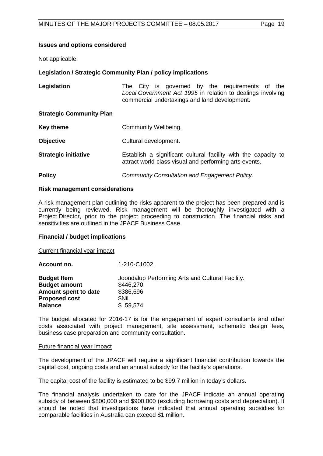#### **Issues and options considered**

Not applicable.

#### **Legislation / Strategic Community Plan / policy implications**

| Legislation                     | The City is governed by the requirements of the<br>Local Government Act 1995 in relation to dealings involving<br>commercial undertakings and land development. |
|---------------------------------|-----------------------------------------------------------------------------------------------------------------------------------------------------------------|
| <b>Strategic Community Plan</b> |                                                                                                                                                                 |
| <b>Key theme</b>                | Community Wellbeing.                                                                                                                                            |
| <b>Objective</b>                | Cultural development.                                                                                                                                           |
| <b>Strategic initiative</b>     | Establish a significant cultural facility with the capacity to<br>attract world-class visual and performing arts events.                                        |
| <b>Policy</b>                   | Community Consultation and Engagement Policy.                                                                                                                   |

#### **Risk management considerations**

A risk management plan outlining the risks apparent to the project has been prepared and is currently being reviewed. Risk management will be thoroughly investigated with a Project Director, prior to the project proceeding to construction. The financial risks and sensitivities are outlined in the JPACF Business Case.

#### **Financial / budget implications**

Current financial year impact

| Account no.          | 1-210-C1002.                                     |
|----------------------|--------------------------------------------------|
| <b>Budget Item</b>   | Joondalup Performing Arts and Cultural Facility. |
| <b>Budget amount</b> | \$446,270                                        |
| Amount spent to date | \$386,696                                        |
| <b>Proposed cost</b> | SNil.                                            |
| <b>Balance</b>       | \$59,574                                         |

The budget allocated for 2016-17 is for the engagement of expert consultants and other costs associated with project management, site assessment, schematic design fees, business case preparation and community consultation.

#### Future financial year impact

The development of the JPACF will require a significant financial contribution towards the capital cost, ongoing costs and an annual subsidy for the facility's operations.

The capital cost of the facility is estimated to be \$99.7 million in today's dollars.

The financial analysis undertaken to date for the JPACF indicate an annual operating subsidy of between \$800,000 and \$900,000 (excluding borrowing costs and depreciation). It should be noted that investigations have indicated that annual operating subsidies for comparable facilities in Australia can exceed \$1 million.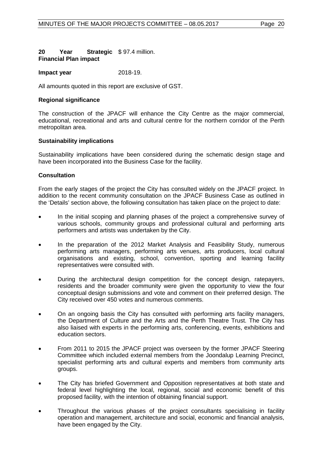### **20 Year Strategic**  \$ 97.4 million. **Financial Plan impact**

#### **Impact year** 2018-19.

All amounts quoted in this report are exclusive of GST.

#### **Regional significance**

The construction of the JPACF will enhance the City Centre as the major commercial, educational, recreational and arts and cultural centre for the northern corridor of the Perth metropolitan area.

#### **Sustainability implications**

Sustainability implications have been considered during the schematic design stage and have been incorporated into the Business Case for the facility.

#### **Consultation**

From the early stages of the project the City has consulted widely on the JPACF project. In addition to the recent community consultation on the JPACF Business Case as outlined in the 'Details' section above, the following consultation has taken place on the project to date:

- In the initial scoping and planning phases of the project a comprehensive survey of various schools, community groups and professional cultural and performing arts performers and artists was undertaken by the City.
- In the preparation of the 2012 Market Analysis and Feasibility Study, numerous performing arts managers, performing arts venues, arts producers, local cultural organisations and existing, school, convention, sporting and learning facility representatives were consulted with.
- During the architectural design competition for the concept design, ratepayers, residents and the broader community were given the opportunity to view the four conceptual design submissions and vote and comment on their preferred design. The City received over 450 votes and numerous comments.
- On an ongoing basis the City has consulted with performing arts facility managers, the Department of Culture and the Arts and the Perth Theatre Trust. The City has also liaised with experts in the performing arts, conferencing, events, exhibitions and education sectors.
- From 2011 to 2015 the JPACF project was overseen by the former JPACF Steering Committee which included external members from the Joondalup Learning Precinct, specialist performing arts and cultural experts and members from community arts groups.
- The City has briefed Government and Opposition representatives at both state and federal level highlighting the local, regional, social and economic benefit of this proposed facility, with the intention of obtaining financial support.
- Throughout the various phases of the project consultants specialising in facility operation and management, architecture and social, economic and financial analysis, have been engaged by the City.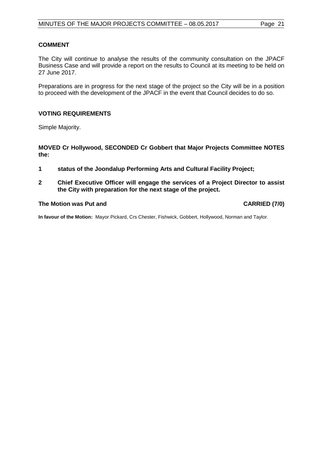### **COMMENT**

The City will continue to analyse the results of the community consultation on the JPACF Business Case and will provide a report on the results to Council at its meeting to be held on 27 June 2017.

Preparations are in progress for the next stage of the project so the City will be in a position to proceed with the development of the JPACF in the event that Council decides to do so.

## **VOTING REQUIREMENTS**

Simple Majority.

**MOVED Cr Hollywood, SECONDED Cr Gobbert that Major Projects Committee NOTES the:**

- **1 status of the Joondalup Performing Arts and Cultural Facility Project;**
- **2 Chief Executive Officer will engage the services of a Project Director to assist the City with preparation for the next stage of the project.**

#### **The Motion was Put and CARRIED (7/0)**

**In favour of the Motion:** Mayor Pickard, Crs Chester, Fishwick, Gobbert, Hollywood, Norman and Taylor.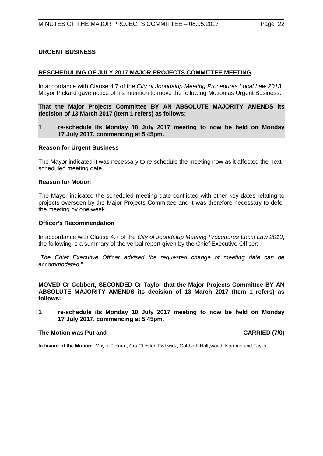## <span id="page-21-0"></span>**URGENT BUSINESS**

#### <span id="page-21-1"></span>**RESCHEDULING OF JULY 2017 MAJOR PROJECTS COMMITTEE MEETING**

In accordance with Clause 4.7 of the *City of Joondalup Meeting Procedures Local Law 2013*, Mayor Pickard gave notice of his intention to move the following Motion as Urgent Business:

**That the Major Projects Committee BY AN ABSOLUTE MAJORITY AMENDS its decision of 13 March 2017 (Item 1 refers) as follows:**

**1 re-schedule its Monday 10 July 2017 meeting to now be held on Monday 17 July 2017, commencing at 5.45pm.**

#### **Reason for Urgent Business**

The Mayor indicated it was necessary to re-schedule the meeting now as it affected the next scheduled meeting date.

#### **Reason for Motion**

The Mayor indicated the scheduled meeting date conflicted with other key dates relating to projects overseen by the Major Projects Committee and it was therefore necessary to defer the meeting by one week.

#### **Officer's Recommendation**

In accordance with Clause 4.7 of the *City of Joondalup Meeting Procedures Local Law 2013*, the following is a summary of the verbal report given by the Chief Executive Officer:

"*The Chief Executive Officer advised the requested change of meeting date can be accommodated*."

**MOVED Cr Gobbert, SECONDED Cr Taylor that the Major Projects Committee BY AN ABSOLUTE MAJORITY AMENDS its decision of 13 March 2017 (Item 1 refers) as follows:**

**1 re-schedule its Monday 10 July 2017 meeting to now be held on Monday 17 July 2017, commencing at 5.45pm.**

#### **The Motion was Put and CARRIED (7/0)**

**In favour of the Motion:** Mayor Pickard, Crs Chester, Fishwick, Gobbert, Hollywood, Norman and Taylor.